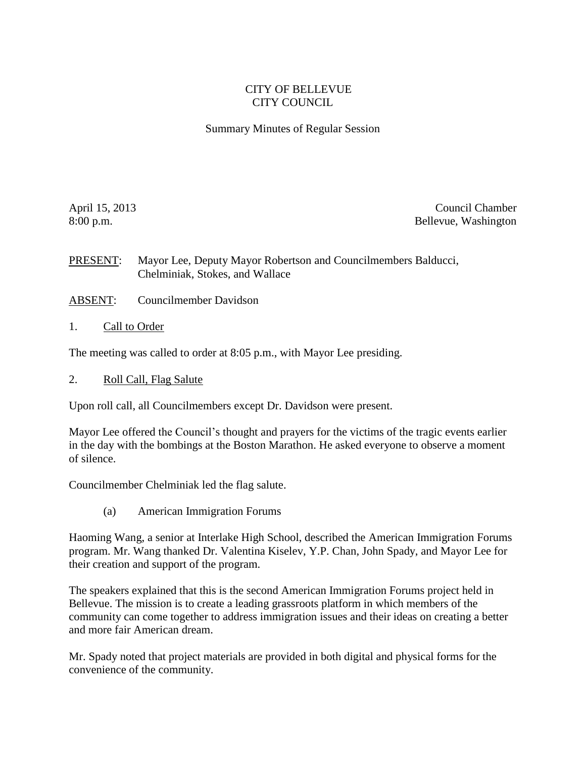## CITY OF BELLEVUE CITY COUNCIL

Summary Minutes of Regular Session

April 15, 2013 Council Chamber 8:00 p.m. Bellevue, Washington

PRESENT: Mayor Lee, Deputy Mayor Robertson and Councilmembers Balducci, Chelminiak, Stokes, and Wallace

- ABSENT: Councilmember Davidson
- 1. Call to Order

The meeting was called to order at 8:05 p.m., with Mayor Lee presiding.

2. Roll Call, Flag Salute

Upon roll call, all Councilmembers except Dr. Davidson were present.

Mayor Lee offered the Council's thought and prayers for the victims of the tragic events earlier in the day with the bombings at the Boston Marathon. He asked everyone to observe a moment of silence.

Councilmember Chelminiak led the flag salute.

(a) American Immigration Forums

Haoming Wang, a senior at Interlake High School, described the American Immigration Forums program. Mr. Wang thanked Dr. Valentina Kiselev, Y.P. Chan, John Spady, and Mayor Lee for their creation and support of the program.

The speakers explained that this is the second American Immigration Forums project held in Bellevue. The mission is to create a leading grassroots platform in which members of the community can come together to address immigration issues and their ideas on creating a better and more fair American dream.

Mr. Spady noted that project materials are provided in both digital and physical forms for the convenience of the community.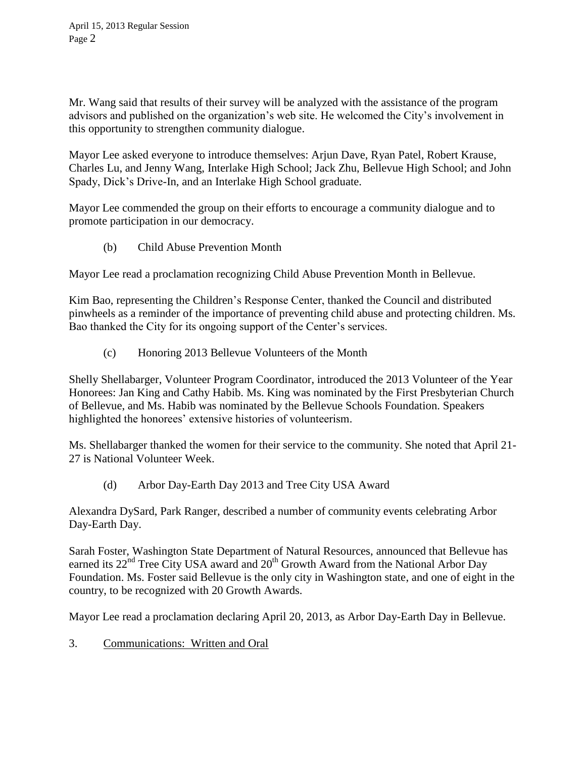Mr. Wang said that results of their survey will be analyzed with the assistance of the program advisors and published on the organization's web site. He welcomed the City's involvement in this opportunity to strengthen community dialogue.

Mayor Lee asked everyone to introduce themselves: Arjun Dave, Ryan Patel, Robert Krause, Charles Lu, and Jenny Wang, Interlake High School; Jack Zhu, Bellevue High School; and John Spady, Dick's Drive-In, and an Interlake High School graduate.

Mayor Lee commended the group on their efforts to encourage a community dialogue and to promote participation in our democracy.

(b) Child Abuse Prevention Month

Mayor Lee read a proclamation recognizing Child Abuse Prevention Month in Bellevue.

Kim Bao, representing the Children's Response Center, thanked the Council and distributed pinwheels as a reminder of the importance of preventing child abuse and protecting children. Ms. Bao thanked the City for its ongoing support of the Center's services.

(c) Honoring 2013 Bellevue Volunteers of the Month

Shelly Shellabarger, Volunteer Program Coordinator, introduced the 2013 Volunteer of the Year Honorees: Jan King and Cathy Habib. Ms. King was nominated by the First Presbyterian Church of Bellevue, and Ms. Habib was nominated by the Bellevue Schools Foundation. Speakers highlighted the honorees' extensive histories of volunteerism.

Ms. Shellabarger thanked the women for their service to the community. She noted that April 21- 27 is National Volunteer Week.

(d) Arbor Day-Earth Day 2013 and Tree City USA Award

Alexandra DySard, Park Ranger, described a number of community events celebrating Arbor Day-Earth Day.

Sarah Foster, Washington State Department of Natural Resources, announced that Bellevue has earned its  $22<sup>nd</sup>$  Tree City USA award and  $20<sup>th</sup>$  Growth Award from the National Arbor Day Foundation. Ms. Foster said Bellevue is the only city in Washington state, and one of eight in the country, to be recognized with 20 Growth Awards.

Mayor Lee read a proclamation declaring April 20, 2013, as Arbor Day-Earth Day in Bellevue.

3. Communications: Written and Oral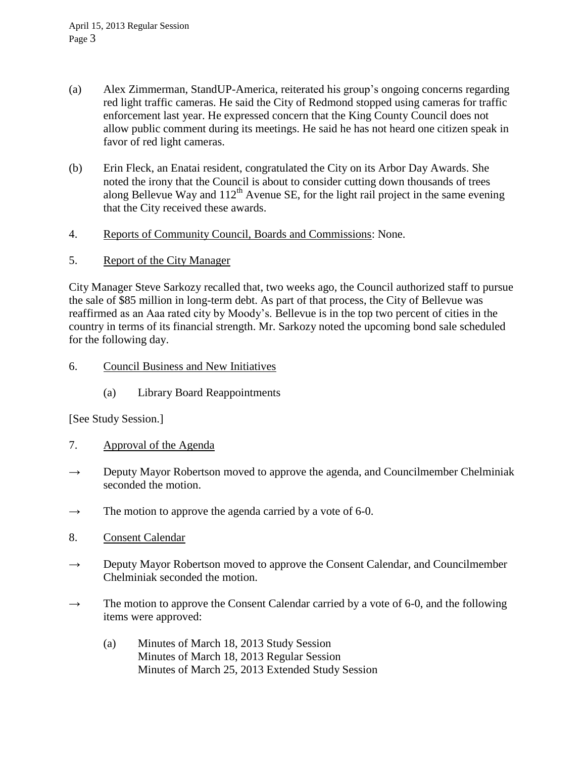- (a) Alex Zimmerman, StandUP-America, reiterated his group's ongoing concerns regarding red light traffic cameras. He said the City of Redmond stopped using cameras for traffic enforcement last year. He expressed concern that the King County Council does not allow public comment during its meetings. He said he has not heard one citizen speak in favor of red light cameras.
- (b) Erin Fleck, an Enatai resident, congratulated the City on its Arbor Day Awards. She noted the irony that the Council is about to consider cutting down thousands of trees along Bellevue Way and  $112^{th}$  Avenue SE, for the light rail project in the same evening that the City received these awards.
- 4. Reports of Community Council, Boards and Commissions: None.
- 5. Report of the City Manager

City Manager Steve Sarkozy recalled that, two weeks ago, the Council authorized staff to pursue the sale of \$85 million in long-term debt. As part of that process, the City of Bellevue was reaffirmed as an Aaa rated city by Moody's. Bellevue is in the top two percent of cities in the country in terms of its financial strength. Mr. Sarkozy noted the upcoming bond sale scheduled for the following day.

## 6. Council Business and New Initiatives

(a) Library Board Reappointments

[See Study Session.]

- 7. Approval of the Agenda
- $\rightarrow$  Deputy Mayor Robertson moved to approve the agenda, and Councilmember Chelminiak seconded the motion.
- $\rightarrow$  The motion to approve the agenda carried by a vote of 6-0.
- 8. Consent Calendar
- $\rightarrow$  Deputy Mayor Robertson moved to approve the Consent Calendar, and Councilmember Chelminiak seconded the motion.
- $\rightarrow$  The motion to approve the Consent Calendar carried by a vote of 6-0, and the following items were approved:
	- (a) Minutes of March 18, 2013 Study Session Minutes of March 18, 2013 Regular Session Minutes of March 25, 2013 Extended Study Session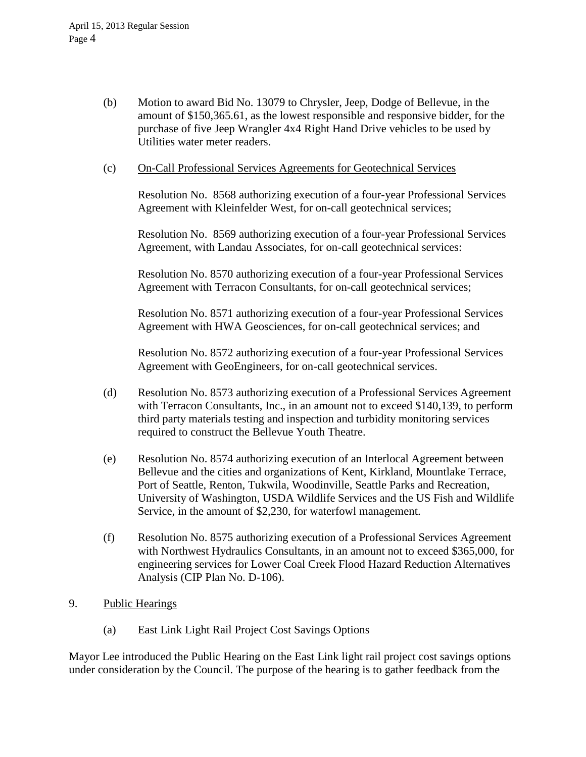(b) Motion to award Bid No. 13079 to Chrysler, Jeep, Dodge of Bellevue, in the amount of \$150,365.61, as the lowest responsible and responsive bidder, for the purchase of five Jeep Wrangler 4x4 Right Hand Drive vehicles to be used by Utilities water meter readers.

## (c) On-Call Professional Services Agreements for Geotechnical Services

Resolution No. 8568 authorizing execution of a four-year Professional Services Agreement with Kleinfelder West, for on-call geotechnical services;

Resolution No. 8569 authorizing execution of a four-year Professional Services Agreement, with Landau Associates, for on-call geotechnical services:

Resolution No. 8570 authorizing execution of a four-year Professional Services Agreement with Terracon Consultants, for on-call geotechnical services;

Resolution No. 8571 authorizing execution of a four-year Professional Services Agreement with HWA Geosciences, for on-call geotechnical services; and

Resolution No. 8572 authorizing execution of a four-year Professional Services Agreement with GeoEngineers, for on-call geotechnical services.

- (d) Resolution No. 8573 authorizing execution of a Professional Services Agreement with Terracon Consultants, Inc., in an amount not to exceed \$140,139, to perform third party materials testing and inspection and turbidity monitoring services required to construct the Bellevue Youth Theatre.
- (e) Resolution No. 8574 authorizing execution of an Interlocal Agreement between Bellevue and the cities and organizations of Kent, Kirkland, Mountlake Terrace, Port of Seattle, Renton, Tukwila, Woodinville, Seattle Parks and Recreation, University of Washington, USDA Wildlife Services and the US Fish and Wildlife Service, in the amount of \$2,230, for waterfowl management.
- (f) Resolution No. 8575 authorizing execution of a Professional Services Agreement with Northwest Hydraulics Consultants, in an amount not to exceed \$365,000, for engineering services for Lower Coal Creek Flood Hazard Reduction Alternatives Analysis (CIP Plan No. D-106).
- 9. Public Hearings
	- (a) East Link Light Rail Project Cost Savings Options

Mayor Lee introduced the Public Hearing on the East Link light rail project cost savings options under consideration by the Council. The purpose of the hearing is to gather feedback from the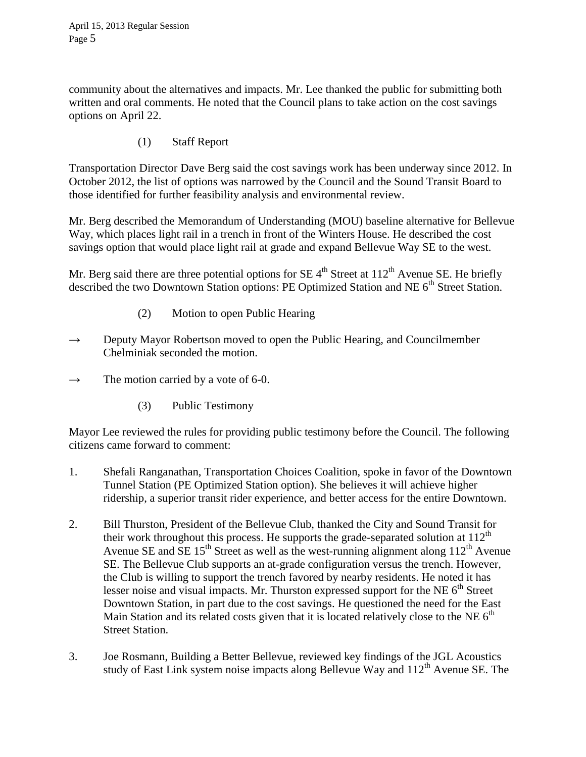community about the alternatives and impacts. Mr. Lee thanked the public for submitting both written and oral comments. He noted that the Council plans to take action on the cost savings options on April 22.

(1) Staff Report

Transportation Director Dave Berg said the cost savings work has been underway since 2012. In October 2012, the list of options was narrowed by the Council and the Sound Transit Board to those identified for further feasibility analysis and environmental review.

Mr. Berg described the Memorandum of Understanding (MOU) baseline alternative for Bellevue Way, which places light rail in a trench in front of the Winters House. He described the cost savings option that would place light rail at grade and expand Bellevue Way SE to the west.

Mr. Berg said there are three potential options for SE  $4<sup>th</sup>$  Street at 112<sup>th</sup> Avenue SE. He briefly described the two Downtown Station options: PE Optimized Station and NE 6<sup>th</sup> Street Station.

- (2) Motion to open Public Hearing
- $\rightarrow$  Deputy Mayor Robertson moved to open the Public Hearing, and Councilmember Chelminiak seconded the motion.
- $\rightarrow$  The motion carried by a vote of 6-0.
	- (3) Public Testimony

Mayor Lee reviewed the rules for providing public testimony before the Council. The following citizens came forward to comment:

- 1. Shefali Ranganathan, Transportation Choices Coalition, spoke in favor of the Downtown Tunnel Station (PE Optimized Station option). She believes it will achieve higher ridership, a superior transit rider experience, and better access for the entire Downtown.
- 2. Bill Thurston, President of the Bellevue Club, thanked the City and Sound Transit for their work throughout this process. He supports the grade-separated solution at  $112<sup>th</sup>$ Avenue SE and  $\overline{SE}$  15<sup>th</sup> Street as well as the west-running alignment along 112<sup>th</sup> Avenue SE. The Bellevue Club supports an at-grade configuration versus the trench. However, the Club is willing to support the trench favored by nearby residents. He noted it has lesser noise and visual impacts. Mr. Thurston expressed support for the NE  $6<sup>th</sup>$  Street Downtown Station, in part due to the cost savings. He questioned the need for the East Main Station and its related costs given that it is located relatively close to the NE  $6<sup>th</sup>$ Street Station.
- 3. Joe Rosmann, Building a Better Bellevue, reviewed key findings of the JGL Acoustics study of East Link system noise impacts along Bellevue Way and  $112<sup>th</sup>$  Avenue SE. The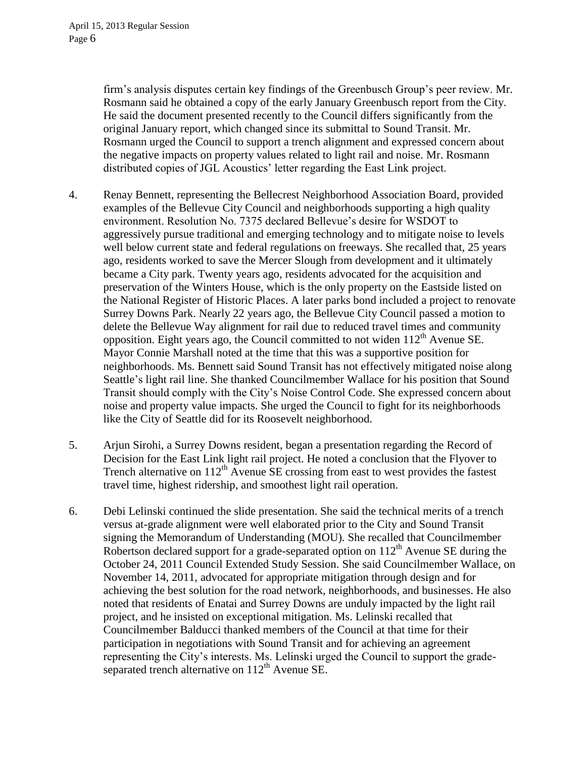firm's analysis disputes certain key findings of the Greenbusch Group's peer review. Mr. Rosmann said he obtained a copy of the early January Greenbusch report from the City. He said the document presented recently to the Council differs significantly from the original January report, which changed since its submittal to Sound Transit. Mr. Rosmann urged the Council to support a trench alignment and expressed concern about the negative impacts on property values related to light rail and noise. Mr. Rosmann distributed copies of JGL Acoustics' letter regarding the East Link project.

- 4. Renay Bennett, representing the Bellecrest Neighborhood Association Board, provided examples of the Bellevue City Council and neighborhoods supporting a high quality environment. Resolution No. 7375 declared Bellevue's desire for WSDOT to aggressively pursue traditional and emerging technology and to mitigate noise to levels well below current state and federal regulations on freeways. She recalled that, 25 years ago, residents worked to save the Mercer Slough from development and it ultimately became a City park. Twenty years ago, residents advocated for the acquisition and preservation of the Winters House, which is the only property on the Eastside listed on the National Register of Historic Places. A later parks bond included a project to renovate Surrey Downs Park. Nearly 22 years ago, the Bellevue City Council passed a motion to delete the Bellevue Way alignment for rail due to reduced travel times and community opposition. Eight years ago, the Council committed to not widen  $112<sup>th</sup>$  Avenue SE. Mayor Connie Marshall noted at the time that this was a supportive position for neighborhoods. Ms. Bennett said Sound Transit has not effectively mitigated noise along Seattle's light rail line. She thanked Councilmember Wallace for his position that Sound Transit should comply with the City's Noise Control Code. She expressed concern about noise and property value impacts. She urged the Council to fight for its neighborhoods like the City of Seattle did for its Roosevelt neighborhood.
- 5. Arjun Sirohi, a Surrey Downs resident, began a presentation regarding the Record of Decision for the East Link light rail project. He noted a conclusion that the Flyover to Trench alternative on  $112<sup>th</sup>$  Avenue SE crossing from east to west provides the fastest travel time, highest ridership, and smoothest light rail operation.
- 6. Debi Lelinski continued the slide presentation. She said the technical merits of a trench versus at-grade alignment were well elaborated prior to the City and Sound Transit signing the Memorandum of Understanding (MOU). She recalled that Councilmember Robertson declared support for a grade-separated option on  $112<sup>th</sup>$  Avenue SE during the October 24, 2011 Council Extended Study Session. She said Councilmember Wallace, on November 14, 2011, advocated for appropriate mitigation through design and for achieving the best solution for the road network, neighborhoods, and businesses. He also noted that residents of Enatai and Surrey Downs are unduly impacted by the light rail project, and he insisted on exceptional mitigation. Ms. Lelinski recalled that Councilmember Balducci thanked members of the Council at that time for their participation in negotiations with Sound Transit and for achieving an agreement representing the City's interests. Ms. Lelinski urged the Council to support the gradeseparated trench alternative on  $112<sup>th</sup>$  Avenue SE.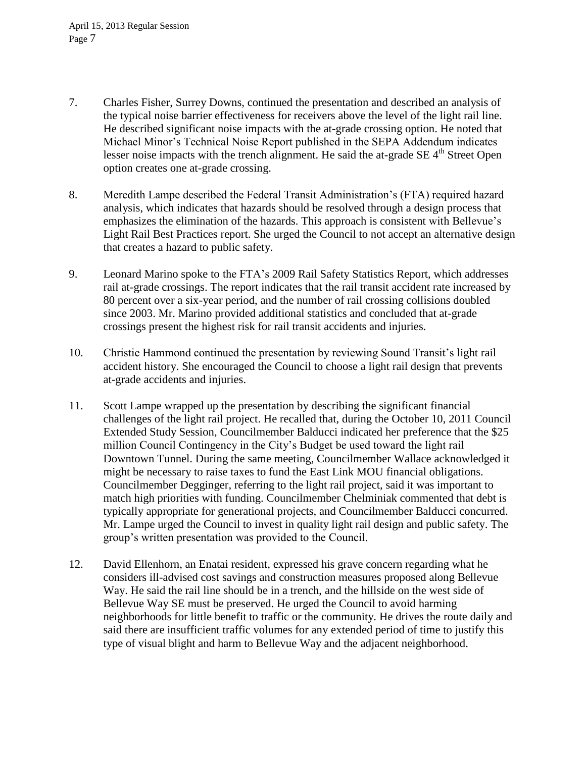- 7. Charles Fisher, Surrey Downs, continued the presentation and described an analysis of the typical noise barrier effectiveness for receivers above the level of the light rail line. He described significant noise impacts with the at-grade crossing option. He noted that Michael Minor's Technical Noise Report published in the SEPA Addendum indicates lesser noise impacts with the trench alignment. He said the at-grade SE 4<sup>th</sup> Street Open option creates one at-grade crossing.
- 8. Meredith Lampe described the Federal Transit Administration's (FTA) required hazard analysis, which indicates that hazards should be resolved through a design process that emphasizes the elimination of the hazards. This approach is consistent with Bellevue's Light Rail Best Practices report. She urged the Council to not accept an alternative design that creates a hazard to public safety.
- 9. Leonard Marino spoke to the FTA's 2009 Rail Safety Statistics Report, which addresses rail at-grade crossings. The report indicates that the rail transit accident rate increased by 80 percent over a six-year period, and the number of rail crossing collisions doubled since 2003. Mr. Marino provided additional statistics and concluded that at-grade crossings present the highest risk for rail transit accidents and injuries.
- 10. Christie Hammond continued the presentation by reviewing Sound Transit's light rail accident history. She encouraged the Council to choose a light rail design that prevents at-grade accidents and injuries.
- 11. Scott Lampe wrapped up the presentation by describing the significant financial challenges of the light rail project. He recalled that, during the October 10, 2011 Council Extended Study Session, Councilmember Balducci indicated her preference that the \$25 million Council Contingency in the City's Budget be used toward the light rail Downtown Tunnel. During the same meeting, Councilmember Wallace acknowledged it might be necessary to raise taxes to fund the East Link MOU financial obligations. Councilmember Degginger, referring to the light rail project, said it was important to match high priorities with funding. Councilmember Chelminiak commented that debt is typically appropriate for generational projects, and Councilmember Balducci concurred. Mr. Lampe urged the Council to invest in quality light rail design and public safety. The group's written presentation was provided to the Council.
- 12. David Ellenhorn, an Enatai resident, expressed his grave concern regarding what he considers ill-advised cost savings and construction measures proposed along Bellevue Way. He said the rail line should be in a trench, and the hillside on the west side of Bellevue Way SE must be preserved. He urged the Council to avoid harming neighborhoods for little benefit to traffic or the community. He drives the route daily and said there are insufficient traffic volumes for any extended period of time to justify this type of visual blight and harm to Bellevue Way and the adjacent neighborhood.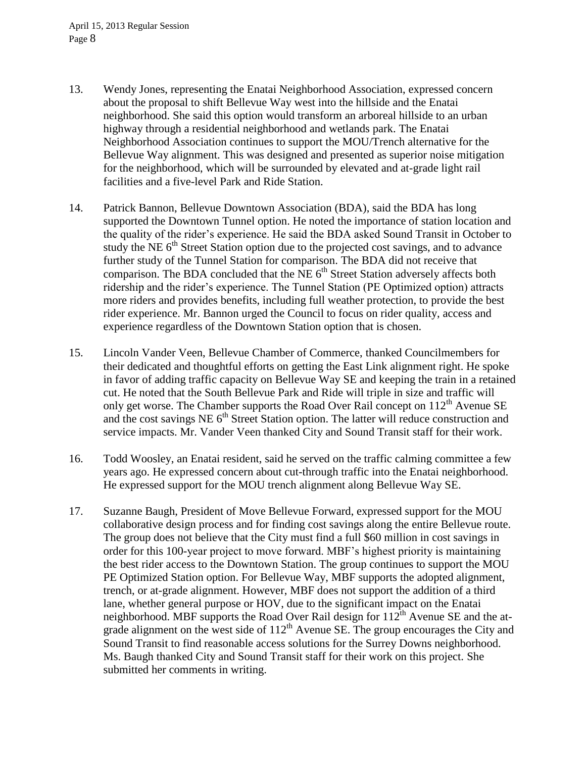- 13. Wendy Jones, representing the Enatai Neighborhood Association, expressed concern about the proposal to shift Bellevue Way west into the hillside and the Enatai neighborhood. She said this option would transform an arboreal hillside to an urban highway through a residential neighborhood and wetlands park. The Enatai Neighborhood Association continues to support the MOU/Trench alternative for the Bellevue Way alignment. This was designed and presented as superior noise mitigation for the neighborhood, which will be surrounded by elevated and at-grade light rail facilities and a five-level Park and Ride Station.
- 14. Patrick Bannon, Bellevue Downtown Association (BDA), said the BDA has long supported the Downtown Tunnel option. He noted the importance of station location and the quality of the rider's experience. He said the BDA asked Sound Transit in October to study the NE  $6<sup>th</sup>$  Street Station option due to the projected cost savings, and to advance further study of the Tunnel Station for comparison. The BDA did not receive that comparison. The BDA concluded that the  $NE 6<sup>th</sup>$  Street Station adversely affects both ridership and the rider's experience. The Tunnel Station (PE Optimized option) attracts more riders and provides benefits, including full weather protection, to provide the best rider experience. Mr. Bannon urged the Council to focus on rider quality, access and experience regardless of the Downtown Station option that is chosen.
- 15. Lincoln Vander Veen, Bellevue Chamber of Commerce, thanked Councilmembers for their dedicated and thoughtful efforts on getting the East Link alignment right. He spoke in favor of adding traffic capacity on Bellevue Way SE and keeping the train in a retained cut. He noted that the South Bellevue Park and Ride will triple in size and traffic will only get worse. The Chamber supports the Road Over Rail concept on  $112<sup>th</sup>$  Avenue SE and the cost savings NE  $6<sup>th</sup>$  Street Station option. The latter will reduce construction and service impacts. Mr. Vander Veen thanked City and Sound Transit staff for their work.
- 16. Todd Woosley, an Enatai resident, said he served on the traffic calming committee a few years ago. He expressed concern about cut-through traffic into the Enatai neighborhood. He expressed support for the MOU trench alignment along Bellevue Way SE.
- 17. Suzanne Baugh, President of Move Bellevue Forward, expressed support for the MOU collaborative design process and for finding cost savings along the entire Bellevue route. The group does not believe that the City must find a full \$60 million in cost savings in order for this 100-year project to move forward. MBF's highest priority is maintaining the best rider access to the Downtown Station. The group continues to support the MOU PE Optimized Station option. For Bellevue Way, MBF supports the adopted alignment, trench, or at-grade alignment. However, MBF does not support the addition of a third lane, whether general purpose or HOV, due to the significant impact on the Enatai neighborhood. MBF supports the Road Over Rail design for 112<sup>th</sup> Avenue SE and the atgrade alignment on the west side of  $112<sup>th</sup>$  Avenue SE. The group encourages the City and Sound Transit to find reasonable access solutions for the Surrey Downs neighborhood. Ms. Baugh thanked City and Sound Transit staff for their work on this project. She submitted her comments in writing.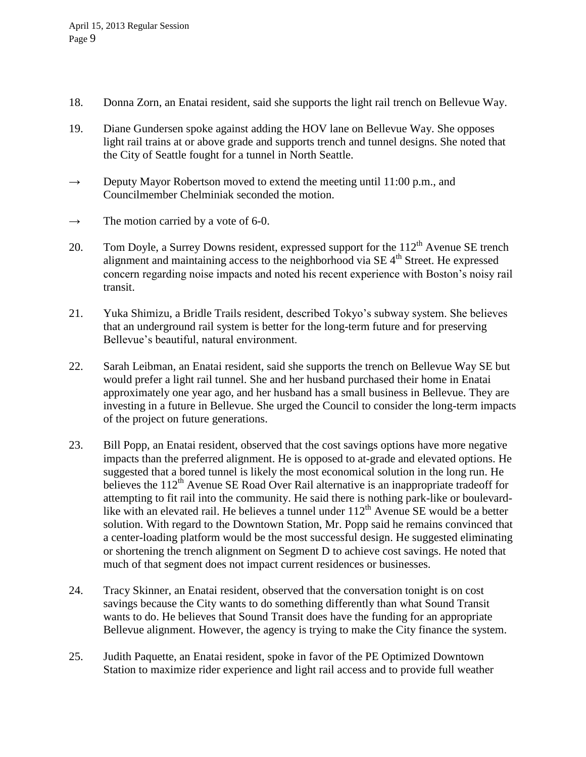- 18. Donna Zorn, an Enatai resident, said she supports the light rail trench on Bellevue Way.
- 19. Diane Gundersen spoke against adding the HOV lane on Bellevue Way. She opposes light rail trains at or above grade and supports trench and tunnel designs. She noted that the City of Seattle fought for a tunnel in North Seattle.
- $\rightarrow$  Deputy Mayor Robertson moved to extend the meeting until 11:00 p.m., and Councilmember Chelminiak seconded the motion.
- $\rightarrow$  The motion carried by a vote of 6-0.
- 20. Tom Doyle, a Surrey Downs resident, expressed support for the  $112<sup>th</sup>$  Avenue SE trench alignment and maintaining access to the neighborhood via SE 4<sup>th</sup> Street. He expressed concern regarding noise impacts and noted his recent experience with Boston's noisy rail transit.
- 21. Yuka Shimizu, a Bridle Trails resident, described Tokyo's subway system. She believes that an underground rail system is better for the long-term future and for preserving Bellevue's beautiful, natural environment.
- 22. Sarah Leibman, an Enatai resident, said she supports the trench on Bellevue Way SE but would prefer a light rail tunnel. She and her husband purchased their home in Enatai approximately one year ago, and her husband has a small business in Bellevue. They are investing in a future in Bellevue. She urged the Council to consider the long-term impacts of the project on future generations.
- 23. Bill Popp, an Enatai resident, observed that the cost savings options have more negative impacts than the preferred alignment. He is opposed to at-grade and elevated options. He suggested that a bored tunnel is likely the most economical solution in the long run. He believes the 112<sup>th</sup> Avenue SE Road Over Rail alternative is an inappropriate tradeoff for attempting to fit rail into the community. He said there is nothing park-like or boulevardlike with an elevated rail. He believes a tunnel under  $112<sup>th</sup>$  Avenue SE would be a better solution. With regard to the Downtown Station, Mr. Popp said he remains convinced that a center-loading platform would be the most successful design. He suggested eliminating or shortening the trench alignment on Segment D to achieve cost savings. He noted that much of that segment does not impact current residences or businesses.
- 24. Tracy Skinner, an Enatai resident, observed that the conversation tonight is on cost savings because the City wants to do something differently than what Sound Transit wants to do. He believes that Sound Transit does have the funding for an appropriate Bellevue alignment. However, the agency is trying to make the City finance the system.
- 25. Judith Paquette, an Enatai resident, spoke in favor of the PE Optimized Downtown Station to maximize rider experience and light rail access and to provide full weather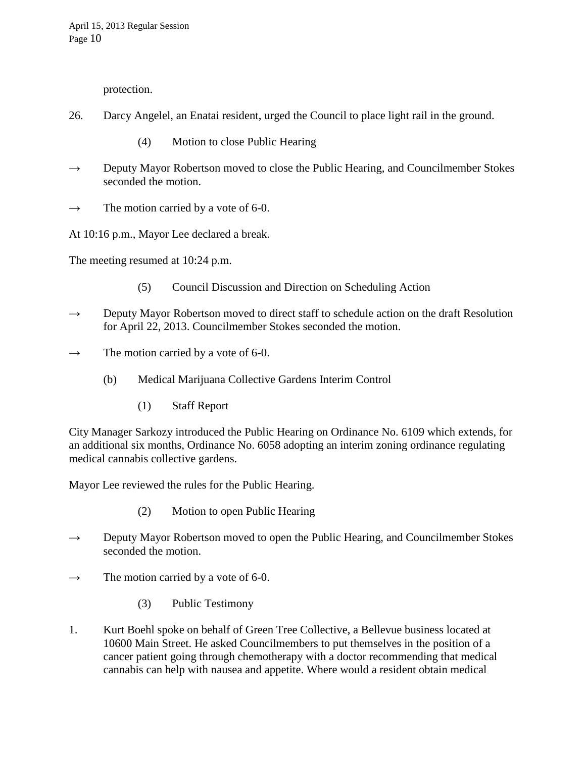protection.

- 26. Darcy Angelel, an Enatai resident, urged the Council to place light rail in the ground.
	- (4) Motion to close Public Hearing
- $\rightarrow$  Deputy Mayor Robertson moved to close the Public Hearing, and Councilmember Stokes seconded the motion.
- $\rightarrow$  The motion carried by a vote of 6-0.

At 10:16 p.m., Mayor Lee declared a break.

The meeting resumed at 10:24 p.m.

- (5) Council Discussion and Direction on Scheduling Action
- $\rightarrow$  Deputy Mayor Robertson moved to direct staff to schedule action on the draft Resolution for April 22, 2013. Councilmember Stokes seconded the motion.
- $\rightarrow$  The motion carried by a vote of 6-0.
	- (b) Medical Marijuana Collective Gardens Interim Control
		- (1) Staff Report

City Manager Sarkozy introduced the Public Hearing on Ordinance No. 6109 which extends, for an additional six months, Ordinance No. 6058 adopting an interim zoning ordinance regulating medical cannabis collective gardens.

Mayor Lee reviewed the rules for the Public Hearing.

- (2) Motion to open Public Hearing
- $\rightarrow$  Deputy Mayor Robertson moved to open the Public Hearing, and Councilmember Stokes seconded the motion.
- $\rightarrow$  The motion carried by a vote of 6-0.
	- (3) Public Testimony
- 1. Kurt Boehl spoke on behalf of Green Tree Collective, a Bellevue business located at 10600 Main Street. He asked Councilmembers to put themselves in the position of a cancer patient going through chemotherapy with a doctor recommending that medical cannabis can help with nausea and appetite. Where would a resident obtain medical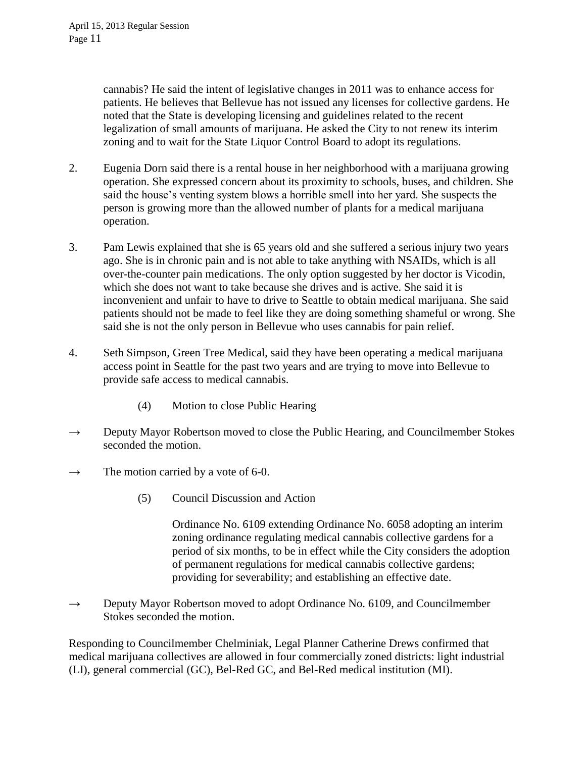cannabis? He said the intent of legislative changes in 2011 was to enhance access for patients. He believes that Bellevue has not issued any licenses for collective gardens. He noted that the State is developing licensing and guidelines related to the recent legalization of small amounts of marijuana. He asked the City to not renew its interim zoning and to wait for the State Liquor Control Board to adopt its regulations.

- 2. Eugenia Dorn said there is a rental house in her neighborhood with a marijuana growing operation. She expressed concern about its proximity to schools, buses, and children. She said the house's venting system blows a horrible smell into her yard. She suspects the person is growing more than the allowed number of plants for a medical marijuana operation.
- 3. Pam Lewis explained that she is 65 years old and she suffered a serious injury two years ago. She is in chronic pain and is not able to take anything with NSAIDs, which is all over-the-counter pain medications. The only option suggested by her doctor is Vicodin, which she does not want to take because she drives and is active. She said it is inconvenient and unfair to have to drive to Seattle to obtain medical marijuana. She said patients should not be made to feel like they are doing something shameful or wrong. She said she is not the only person in Bellevue who uses cannabis for pain relief.
- 4. Seth Simpson, Green Tree Medical, said they have been operating a medical marijuana access point in Seattle for the past two years and are trying to move into Bellevue to provide safe access to medical cannabis.
	- (4) Motion to close Public Hearing
- $\rightarrow$  Deputy Mayor Robertson moved to close the Public Hearing, and Councilmember Stokes seconded the motion.
- $\rightarrow$  The motion carried by a vote of 6-0.
	- (5) Council Discussion and Action

Ordinance No. 6109 extending Ordinance No. 6058 adopting an interim zoning ordinance regulating medical cannabis collective gardens for a period of six months, to be in effect while the City considers the adoption of permanent regulations for medical cannabis collective gardens; providing for severability; and establishing an effective date.

 $\rightarrow$  Deputy Mayor Robertson moved to adopt Ordinance No. 6109, and Councilmember Stokes seconded the motion.

Responding to Councilmember Chelminiak, Legal Planner Catherine Drews confirmed that medical marijuana collectives are allowed in four commercially zoned districts: light industrial (LI), general commercial (GC), Bel-Red GC, and Bel-Red medical institution (MI).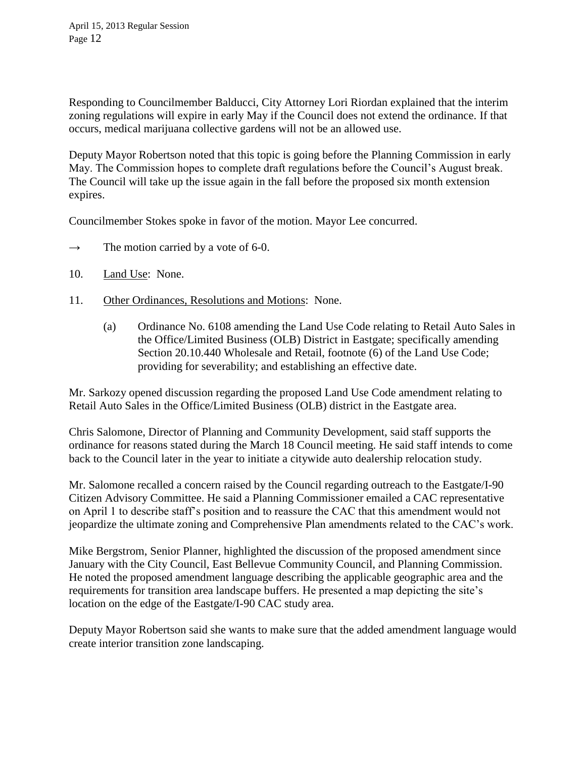Responding to Councilmember Balducci, City Attorney Lori Riordan explained that the interim zoning regulations will expire in early May if the Council does not extend the ordinance. If that occurs, medical marijuana collective gardens will not be an allowed use.

Deputy Mayor Robertson noted that this topic is going before the Planning Commission in early May. The Commission hopes to complete draft regulations before the Council's August break. The Council will take up the issue again in the fall before the proposed six month extension expires.

Councilmember Stokes spoke in favor of the motion. Mayor Lee concurred.

- $\rightarrow$  The motion carried by a vote of 6-0.
- 10. Land Use: None.
- 11. Other Ordinances, Resolutions and Motions: None.
	- (a) Ordinance No. 6108 amending the Land Use Code relating to Retail Auto Sales in the Office/Limited Business (OLB) District in Eastgate; specifically amending Section 20.10.440 Wholesale and Retail, footnote (6) of the Land Use Code; providing for severability; and establishing an effective date.

Mr. Sarkozy opened discussion regarding the proposed Land Use Code amendment relating to Retail Auto Sales in the Office/Limited Business (OLB) district in the Eastgate area.

Chris Salomone, Director of Planning and Community Development, said staff supports the ordinance for reasons stated during the March 18 Council meeting. He said staff intends to come back to the Council later in the year to initiate a citywide auto dealership relocation study.

Mr. Salomone recalled a concern raised by the Council regarding outreach to the Eastgate/I-90 Citizen Advisory Committee. He said a Planning Commissioner emailed a CAC representative on April 1 to describe staff's position and to reassure the CAC that this amendment would not jeopardize the ultimate zoning and Comprehensive Plan amendments related to the CAC's work.

Mike Bergstrom, Senior Planner, highlighted the discussion of the proposed amendment since January with the City Council, East Bellevue Community Council, and Planning Commission. He noted the proposed amendment language describing the applicable geographic area and the requirements for transition area landscape buffers. He presented a map depicting the site's location on the edge of the Eastgate/I-90 CAC study area.

Deputy Mayor Robertson said she wants to make sure that the added amendment language would create interior transition zone landscaping.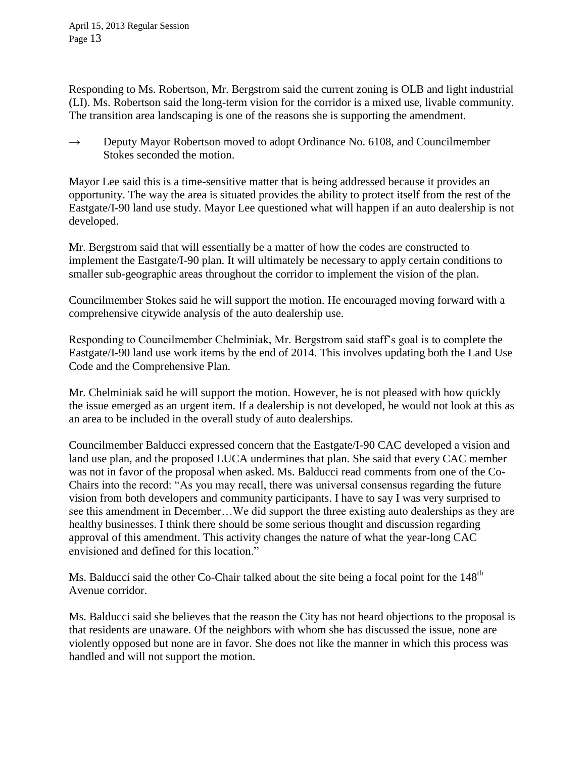Responding to Ms. Robertson, Mr. Bergstrom said the current zoning is OLB and light industrial (LI). Ms. Robertson said the long-term vision for the corridor is a mixed use, livable community. The transition area landscaping is one of the reasons she is supporting the amendment.

 $\rightarrow$  Deputy Mayor Robertson moved to adopt Ordinance No. 6108, and Councilmember Stokes seconded the motion.

Mayor Lee said this is a time-sensitive matter that is being addressed because it provides an opportunity. The way the area is situated provides the ability to protect itself from the rest of the Eastgate/I-90 land use study. Mayor Lee questioned what will happen if an auto dealership is not developed.

Mr. Bergstrom said that will essentially be a matter of how the codes are constructed to implement the Eastgate/I-90 plan. It will ultimately be necessary to apply certain conditions to smaller sub-geographic areas throughout the corridor to implement the vision of the plan.

Councilmember Stokes said he will support the motion. He encouraged moving forward with a comprehensive citywide analysis of the auto dealership use.

Responding to Councilmember Chelminiak, Mr. Bergstrom said staff's goal is to complete the Eastgate/I-90 land use work items by the end of 2014. This involves updating both the Land Use Code and the Comprehensive Plan.

Mr. Chelminiak said he will support the motion. However, he is not pleased with how quickly the issue emerged as an urgent item. If a dealership is not developed, he would not look at this as an area to be included in the overall study of auto dealerships.

Councilmember Balducci expressed concern that the Eastgate/I-90 CAC developed a vision and land use plan, and the proposed LUCA undermines that plan. She said that every CAC member was not in favor of the proposal when asked. Ms. Balducci read comments from one of the Co-Chairs into the record: "As you may recall, there was universal consensus regarding the future vision from both developers and community participants. I have to say I was very surprised to see this amendment in December…We did support the three existing auto dealerships as they are healthy businesses. I think there should be some serious thought and discussion regarding approval of this amendment. This activity changes the nature of what the year-long CAC envisioned and defined for this location."

Ms. Balducci said the other Co-Chair talked about the site being a focal point for the 148<sup>th</sup> Avenue corridor.

Ms. Balducci said she believes that the reason the City has not heard objections to the proposal is that residents are unaware. Of the neighbors with whom she has discussed the issue, none are violently opposed but none are in favor. She does not like the manner in which this process was handled and will not support the motion.